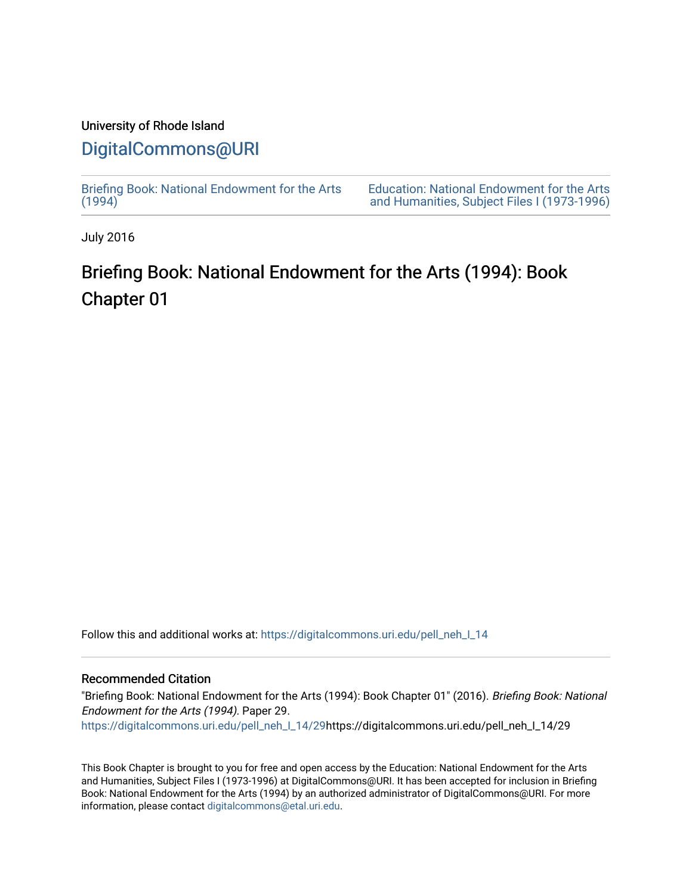## University of Rhode Island

## [DigitalCommons@URI](https://digitalcommons.uri.edu/)

[Briefing Book: National Endowment for the Arts](https://digitalcommons.uri.edu/pell_neh_I_14)  $(1994)$ 

[Education: National Endowment for the Arts](https://digitalcommons.uri.edu/pell_neh_I)  [and Humanities, Subject Files I \(1973-1996\)](https://digitalcommons.uri.edu/pell_neh_I) 

July 2016

# Briefing Book: National Endowment for the Arts (1994): Book Chapter 01

Follow this and additional works at: [https://digitalcommons.uri.edu/pell\\_neh\\_I\\_14](https://digitalcommons.uri.edu/pell_neh_I_14?utm_source=digitalcommons.uri.edu%2Fpell_neh_I_14%2F29&utm_medium=PDF&utm_campaign=PDFCoverPages) 

### Recommended Citation

"Briefing Book: National Endowment for the Arts (1994): Book Chapter 01" (2016). Briefing Book: National Endowment for the Arts (1994). Paper 29. [https://digitalcommons.uri.edu/pell\\_neh\\_I\\_14/29h](https://digitalcommons.uri.edu/pell_neh_I_14/29?utm_source=digitalcommons.uri.edu%2Fpell_neh_I_14%2F29&utm_medium=PDF&utm_campaign=PDFCoverPages)ttps://digitalcommons.uri.edu/pell\_neh\_I\_14/29

This Book Chapter is brought to you for free and open access by the Education: National Endowment for the Arts and Humanities, Subject Files I (1973-1996) at DigitalCommons@URI. It has been accepted for inclusion in Briefing Book: National Endowment for the Arts (1994) by an authorized administrator of DigitalCommons@URI. For more information, please contact [digitalcommons@etal.uri.edu.](mailto:digitalcommons@etal.uri.edu)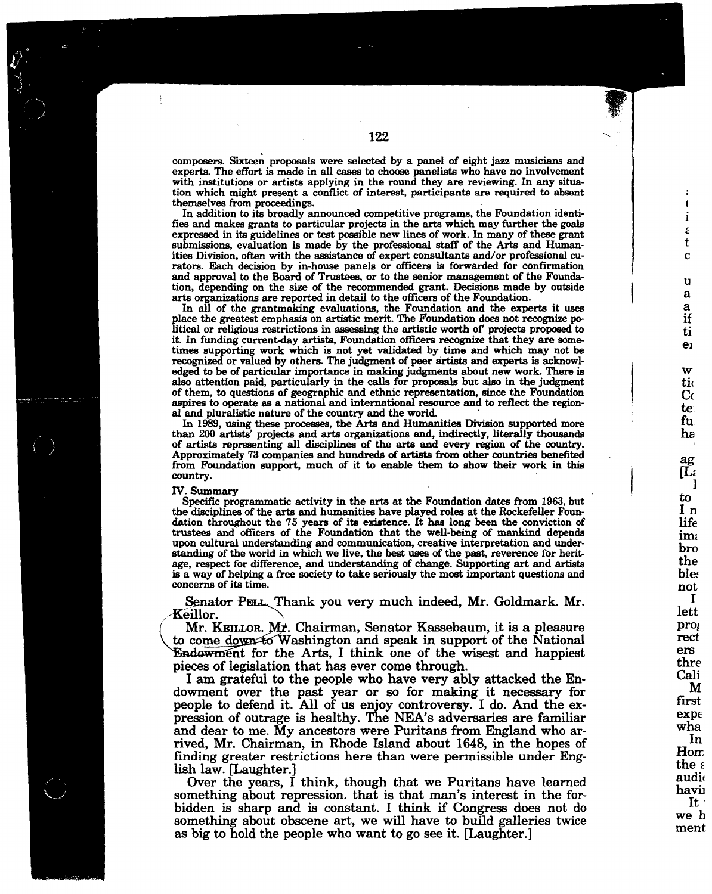composers. Sixteen proposals were selected by a panel of eight jazz musicians and experts. The effort is made in all cases to choose panelists who have no involvement with institutions or artists applying in the round they are reviewing. In any situation which might present a conflict of interest, participants are required to absent themselves from proceedings.

In addition to its broadly announced competitive programs, the Foundation identifies and makes grants to particular projects in the arts which may further the goals expressed in its guidelines or test possible new lines of work. In many of these grant submissions, evaluation is made by the professional staff of the Arts and Humanities Division, often with the assistance of expert consultants and/or professional curators. Each decision by in-house panels or officers is forwarded for confirmation and approval to the Board of Trustees, or to the senior management of the Foundation, depending on the size of the recommended grant. Decisions made by outside arts organizations are reported in detail to the officers of the Foundation.

t c

 $\overline{\mathbf{r}}$ i έ

u a a if ti ei

w ti<  $C<sub>c</sub>$ te fu. ha

ag. [L< ] to In life  $im<sub>i</sub>$ bro the ble: not I lett. pro rect ers thre Cali M first exp  $\mathbf{w}$ ha In Hor the~ aud hav It. we mer.

In all of the grantmaking evaluations, the Foundation and the experts it uses place the greatest emphasis on artistic merit. The Foundation does not recognize political or religious restrictions in assessing the artistic worth *or* projects proposed to it. In funding current-day artists, Foundation officers recognize that they are sometimes supporting work which is not yet validated by time and which may not be recognized or valued by others. The judgment of peer artists and experts is acknowledged to be of particular importance in making judgments about new work. There is also attention paid, particularly in the calls for proposals but also in the judgment of them, to questions of geographic and ethnic representation, since the Foundation aspires to operate as a national and international resource and to reflect the region-<br>al and pluralistic nature of the country and the world.

In 1989, using these processes, the Arts and Humanities Division supported more than 200 artists' projects and arts organizations and, indirectly, literally thousands of artists representing all disciplines of the arts and every region of the country. Approximately 73 companies and hundreds of artists from other countries benefited from Foundation support, much of it to enable them to show their work in this country.

#### IV. Summary

Specific programmatic activity in the arts at the Foundation dates from 1963, but the disciplines of the arts and humanities have played roles at the Rockefeller Foundation throughout the 75 years of its existence. It has long been the conviction of trustees and officers of the Foundation that the well-being of mankind depends upon cultural understanding and communication, creative interpretation and understanding of the world in which we live, the best uses of the past, reverence for heritage, respect for difference, and understanding of change. Supporting art and artists is a way of helping a free society to take seriously the most important questions and concerns of its time.

Senator-PELL. Thank you very much indeed, Mr. Goldmark. Mr. Keillor.

Mr. KEILLOR. Mr. Chairman, Senator Kassebaum, it is a pleasure to come down to Washington and speak in support of the National Endowment for the Arts, I think one of the wisest and happiest pieces of legislation that hac; ever come through.

I am grateful to the people who have very ably attacked the Endowment over the past year or so for making it necessary for people to defend it. All of us enjoy controversy. I do. And the expression of outrage is healthy. The NEA's adversaries are familiar and dear to me. My ancestors were Puritans from England who arrived, Mr. Chairman, in Rhode Island about 1648, in the hopes of finding greater restrictions here than were permissible under English law. [Laughter.]

Over the years, I think, though that we Puritans have learned something about repression. that is that man's interest in the forbidden is sharp and is constant. I think if Congress does not do something about obscene art, we will have to build galleries twice as big to hold the people who want to go see it. [Laughter.]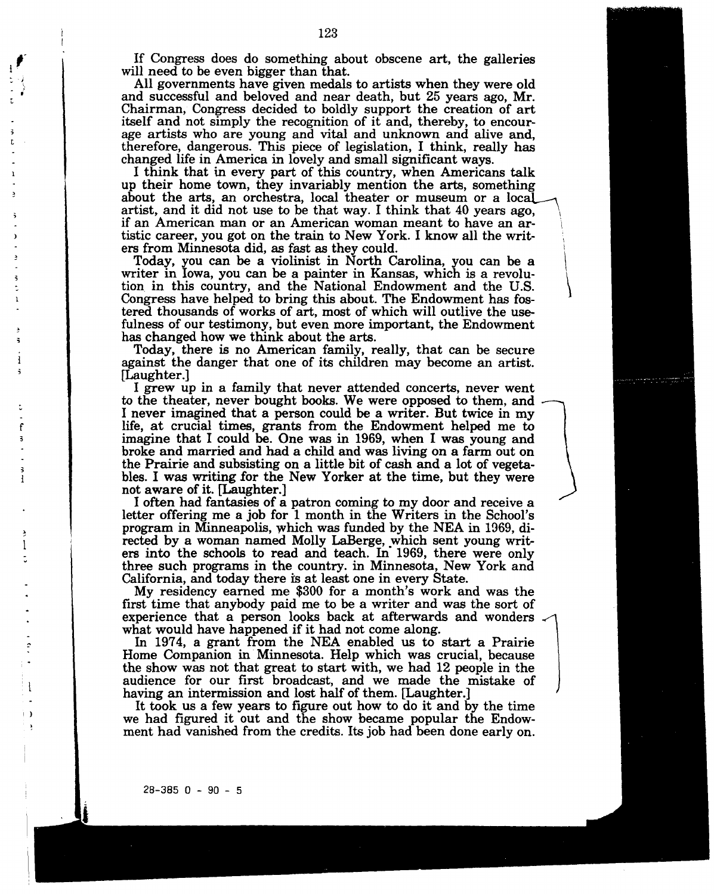All governments have given medals to artists when they were old and successful and beloved and near death, but 25 years ago, Mr. Chairman, Congress decided to boldly support the creation of art itself and not simply the recognition of it and, thereby, to encourage artists who are young and vital and unknown and alive and, therefore, dangerous. This piece of legislation, I think, really has changed life in America in lovely and small significant ways.

I think that in every part of this country, when Americans talk up their home town, they invariably mention the arts, something about the arts, an orchestra, local theater or museum or a local artist, and it did not use to be that way. I think that 40 years ago, if an American man or an American woman meant to have an artistic career, you got on the train to New York. I know all the writers from Minnesota did, as fast as they could.

I I  $\vert$ 

 $\vert$ 

Today, you can be a violinist in North Carolina, you can be a writer in Iowa, you can be a painter in Kansas, which is a revolution in this country, and the National Endowment and the U.S. Congress have helped to bring this about. The Endowment has fostered thousands of works of art, most of which will outlive the usefulness of our testimony, but even more important, the Endowment has changed how we think about the arts.

Today, there is no American family, really, that can be secure against the danger that one of its children may become an artist. [Laughter.]

I grew up in a family that never attended concerts, never went to the theater, never bought books. We were opposed to them, and I never imagined that a person could be a writer. But twice in my life, at crucial times, grants from the Endowment helped me to imagine that I could be. One was in 1969, when I was young and broke and married and had a child and was living on a farm out on the Prairie and subsisting on a little bit of cash and a lot of vegetables. I was writing for the New Yorker at the time, but they were not aware of it. [Laughter.]

I often had fantasies of a patron coming to my door and receive a letter offering me a job for 1 month in the Writers in the School's program in Minneapolis, which was funded by the NEA in 1969, directed by a woman named Molly LaBerge, which sent young writers into the schools to read and teach. 1n· 1969, there were only three such programs in the country. in Minnesota, New York and California, and today there is at least one in every State.

My residency earned me \$300 for a month's work and was the first time that anybody paid me to be a writer and was the sort of experience that a person looks back at afterwards and wonders what would have happened if it had not come along.

In 1974, a grant from the NEA enabled us to start a Prairie Home Companion in Minnesota. Help which was crucial, because the show was not that great to start with, we had 12 people in the audience for our first broadcast, and we made the mistake of having an intermission and lost half of them. [Laughter.]

It took us a few years to figure out how to do it and by the time we had figured it out and the show became popular the Endowment had vanished from the credits. Its job had been done early on.

,-

: <sup>~</sup> I ;

f

 $\overline{\mathbf{3}}$  $\overline{\phantom{a}}$  $\overline{\phantom{a}}$  $\overline{\mathbf{3}}$  $\mathbf{I}$ 

-1

 $\mathbf{r}$ 

š  $\overline{\cdot}$ 

 $\mathbf{S}$  $\mathbf{1}$  $\ddot{\mathbf{5}}$ 

I )

 $\mathbf{I}$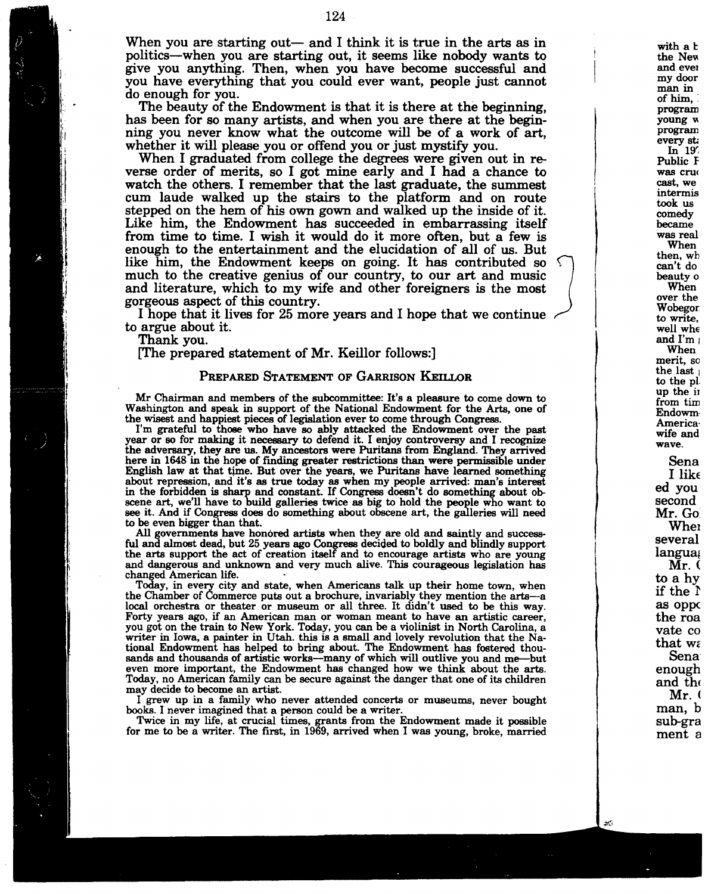When you are starting out— and I think it is true in the arts as in politics-when you are starting out, it seems like nobody wants to give you anything. Then, when you have become successful and you have everything that you could ever want, people just cannot do enough for you.

The beauty of the Endowment is that it is there at the beginning, has been for so many artists, and when you are there at the beginning you never know what the outcome will be of a work of art, whether it will please you or offend you or just mystify you.

When I graduated from college the degrees were given out in reverse order of merits, so I got mine early and I had a chance to watch the others. I remember that the last graduate, the summest cum laude walked up the stairs to the platform and on route stepped on the hem of his own gown and walked up the inside of it. Like him, the Endowment has succeeded in embarrassing itself from time to time. I wish it would do it more often, but a few is enough to the entertainment and the elucidation of all of us. But stepped on the hem of his own gown and walked up the inside of it.<br>Like him, the Endowment has succeeded in embarrassing itself<br>from time to time. I wish it would do it more often, but a few is<br>enough to the entertainment like him, the Endowment keeps on going. It has contributed so  $\sqrt{\ }$  much to the creative genius of our country, to our art and music and literature, which to my wife and other foreigners is the most gorgeous aspect of this country.

I hope that it lives for 25 more years and I hope that we continue to argue about it.

Thank you.

氢

[The prepared statement of Mr. Keillor follows:]

#### PREPARED STATEMENT OF GARRISON KEILLOR

Mr Chairman and members of the subcommittee: It's a pleasure to come down to Washington and speak in support of the National Endowment for the Arts, one of the wisest and happiest pieces of legislation ever to come through Congress.

I'm grateful to those who have so ably attacked the Endowment over the past year or so for making it necessary to defend it. I enjoy controversy and I recognize the adversary, they are us. My ancestors were Puritans from England. They arrived here in 1648 in the hope of finding greater restrictions than were permissible under English law at that time. But over the years, we Puritans have learned something about repression, and it's as true today as when my people arrived: man's interest in the forbidden is sharp and constant. If Congress doesn't do something about obscene art, we'll have to build galleries twice as big to hold the people who want to see it. And if Congress does do something about obscene art, the galleries will need to be even bigger than that.

All governments have honored artists when they are old and saintly and successful and almost dead, but 25 years ago Congress decided to boldly and blindly support the arts support the act of creation itself and to encourage artists who are young and dangerous and unknown and very much alive. This courageous legislation has changed American life.

Today, in every city and state, when Americans talk up their home town, when the Chamber of Commerce puts out a brochure, invariably they mention the arts-a local orchestra or theater or museum or all three. It didn't used to be this way. Forty years ago, if an American man or woman meant to have an artistic career, you got on the train to New York. Today, you can be a violinist in North Carolina, a writer in Iowa, a painter in Utah. this is a small and lovely revolution that the National Endowment has helped to bring about. The Endowment has fostered thousands and thousands of artistic works-many of which will outlive you and me-but even more important, the Endowment has changed how we think about the arts. Today, no American family can be secure against the danger that one of its children may decide to become an artist.

I grew up in a family who never attended concerts or museums, never bought books. I never imagined that a person could be a writer.

Twice in my life, at crucial times, grants from the Endowment made it possible for me to be a writer. The first, in 1969, arrived when I was young, broke, married

and eve1 my door man in of him,• program young w program every st:  $In<sup>-19</sup>$ Public F was cru< cast, we intermis took us comedy became was real When then, wb can't do beauty o When over the **Wobegor** to write, well whe and  $\mathbf{I}'\mathbf{m}$ When merit, so the last i to the pl. up the i1 from tim Endowm· America· wife and wave.

 $with a b$ the New

Sena I like ed you second Mr.Go Whe1 several langua{ Mr. ( to a hy if the  $\Gamma$ as oppc the roa vate co that We Sena enough and the Mr. ( man, b sub-gra ment a